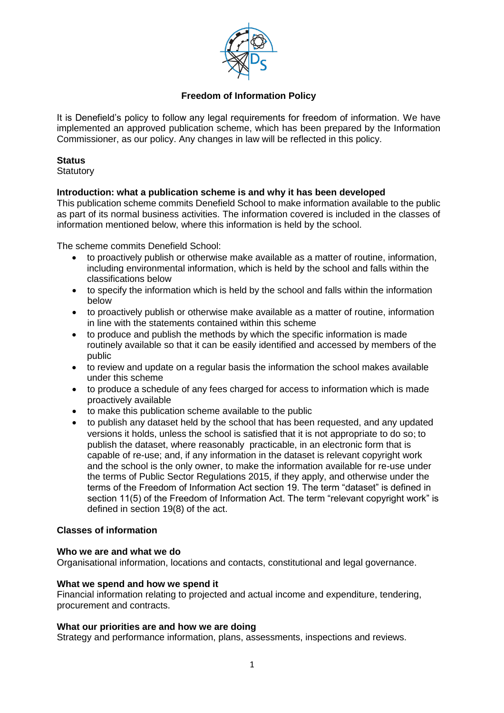

# **Freedom of Information Policy**

It is Denefield's policy to follow any legal requirements for freedom of information. We have implemented an approved publication scheme, which has been prepared by the Information Commissioner, as our policy. Any changes in law will be reflected in this policy.

## **Status**

**Statutory** 

# **Introduction: what a publication scheme is and why it has been developed**

This publication scheme commits Denefield School to make information available to the public as part of its normal business activities. The information covered is included in the classes of information mentioned below, where this information is held by the school.

The scheme commits Denefield School:

- to proactively publish or otherwise make available as a matter of routine, information, including environmental information, which is held by the school and falls within the classifications below
- to specify the information which is held by the school and falls within the information below
- to proactively publish or otherwise make available as a matter of routine, information in line with the statements contained within this scheme
- to produce and publish the methods by which the specific information is made routinely available so that it can be easily identified and accessed by members of the public
- to review and update on a regular basis the information the school makes available under this scheme
- to produce a schedule of any fees charged for access to information which is made proactively available
- to make this publication scheme available to the public
- to publish any dataset held by the school that has been requested, and any updated versions it holds, unless the school is satisfied that it is not appropriate to do so; to publish the dataset, where reasonably practicable, in an electronic form that is capable of re-use; and, if any information in the dataset is relevant copyright work and the school is the only owner, to make the information available for re-use under the terms of Public Sector Regulations 2015, if they apply, and otherwise under the terms of the Freedom of Information Act section 19. The term "dataset" is defined in section 11(5) of the Freedom of Information Act. The term "relevant copyright work" is defined in section 19(8) of the act.

# **Classes of information**

#### **Who we are and what we do**

Organisational information, locations and contacts, constitutional and legal governance.

#### **What we spend and how we spend it**

Financial information relating to projected and actual income and expenditure, tendering, procurement and contracts.

#### **What our priorities are and how we are doing**

Strategy and performance information, plans, assessments, inspections and reviews.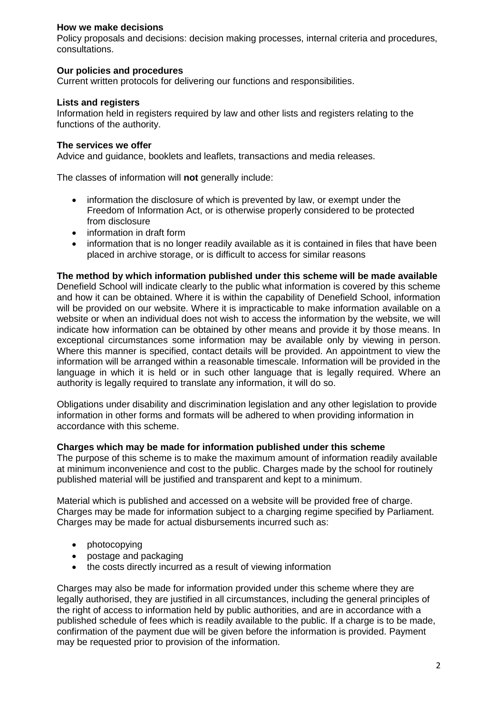# **How we make decisions**

Policy proposals and decisions: decision making processes, internal criteria and procedures, consultations.

# **Our policies and procedures**

Current written protocols for delivering our functions and responsibilities.

# **Lists and registers**

Information held in registers required by law and other lists and registers relating to the functions of the authority.

# **The services we offer**

Advice and guidance, booklets and leaflets, transactions and media releases.

The classes of information will **not** generally include:

- information the disclosure of which is prevented by law, or exempt under the Freedom of Information Act, or is otherwise properly considered to be protected from disclosure
- information in draft form
- information that is no longer readily available as it is contained in files that have been placed in archive storage, or is difficult to access for similar reasons

# **The method by which information published under this scheme will be made available**

Denefield School will indicate clearly to the public what information is covered by this scheme and how it can be obtained. Where it is within the capability of Denefield School, information will be provided on our website. Where it is impracticable to make information available on a website or when an individual does not wish to access the information by the website, we will indicate how information can be obtained by other means and provide it by those means. In exceptional circumstances some information may be available only by viewing in person. Where this manner is specified, contact details will be provided. An appointment to view the information will be arranged within a reasonable timescale. Information will be provided in the language in which it is held or in such other language that is legally required. Where an authority is legally required to translate any information, it will do so.

Obligations under disability and discrimination legislation and any other legislation to provide information in other forms and formats will be adhered to when providing information in accordance with this scheme.

# **Charges which may be made for information published under this scheme**

The purpose of this scheme is to make the maximum amount of information readily available at minimum inconvenience and cost to the public. Charges made by the school for routinely published material will be justified and transparent and kept to a minimum.

Material which is published and accessed on a website will be provided free of charge. Charges may be made for information subject to a charging regime specified by Parliament. Charges may be made for actual disbursements incurred such as:

- photocopying
- postage and packaging
- the costs directly incurred as a result of viewing information

Charges may also be made for information provided under this scheme where they are legally authorised, they are justified in all circumstances, including the general principles of the right of access to information held by public authorities, and are in accordance with a published schedule of fees which is readily available to the public. If a charge is to be made, confirmation of the payment due will be given before the information is provided. Payment may be requested prior to provision of the information.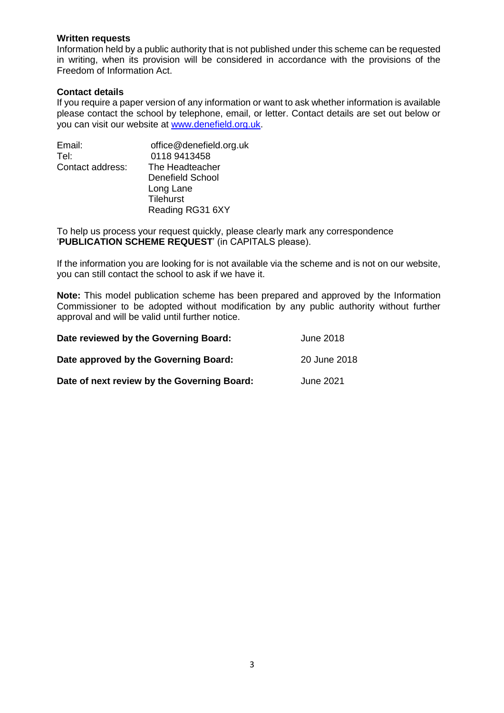#### **Written requests**

Information held by a public authority that is not published under this scheme can be requested in writing, when its provision will be considered in accordance with the provisions of the Freedom of Information Act.

## **Contact details**

If you require a paper version of any information or want to ask whether information is available please contact the school by telephone, email, or letter. Contact details are set out below or you can visit our website at www.denefield.org.uk.

| Email:           | office@denefield.org.uk |
|------------------|-------------------------|
| Tel:             | 0118 9413458            |
| Contact address: | The Headteacher         |
|                  | Denefield School        |
|                  | Long Lane               |
|                  | Tilehurst               |
|                  | Reading RG31 6XY        |
|                  |                         |

To help us process your request quickly, please clearly mark any correspondence '**PUBLICATION SCHEME REQUEST**' (in CAPITALS please).

If the information you are looking for is not available via the scheme and is not on our website, you can still contact the school to ask if we have it.

**Note:** This model publication scheme has been prepared and approved by the Information Commissioner to be adopted without modification by any public authority without further approval and will be valid until further notice.

| Date reviewed by the Governing Board:       | June 2018    |
|---------------------------------------------|--------------|
| Date approved by the Governing Board:       | 20 June 2018 |
| Date of next review by the Governing Board: | June 2021    |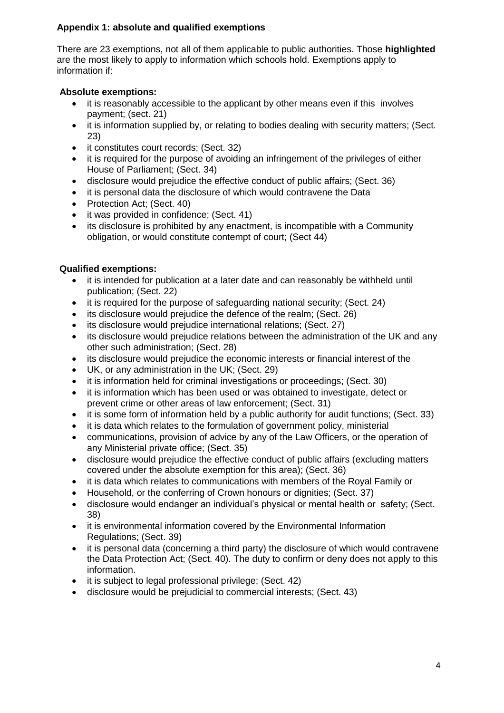# **Appendix 1: absolute and qualified exemptions**

There are 23 exemptions, not all of them applicable to public authorities. Those **highlighted**  are the most likely to apply to information which schools hold. Exemptions apply to information if:

# **Absolute exemptions:**

- it is reasonably accessible to the applicant by other means even if this involves payment; (sect. 21)
- it is information supplied by, or relating to bodies dealing with security matters; (Sect. 23)
- it constitutes court records; (Sect. 32)
- it is required for the purpose of avoiding an infringement of the privileges of either House of Parliament; (Sect. 34)
- disclosure would prejudice the effective conduct of public affairs; (Sect. 36)
- it is personal data the disclosure of which would contravene the Data
- Protection Act; (Sect. 40)
- it was provided in confidence; (Sect. 41)
- its disclosure is prohibited by any enactment, is incompatible with a Community obligation, or would constitute contempt of court; (Sect 44)

# **Qualified exemptions:**

- it is intended for publication at a later date and can reasonably be withheld until publication; (Sect. 22)
- it is required for the purpose of safeguarding national security; (Sect. 24)
- its disclosure would prejudice the defence of the realm; (Sect. 26)
- its disclosure would prejudice international relations; (Sect. 27)
- its disclosure would prejudice relations between the administration of the UK and any other such administration; (Sect. 28)
- its disclosure would prejudice the economic interests or financial interest of the
- UK, or any administration in the UK; (Sect. 29)
- it is information held for criminal investigations or proceedings; (Sect. 30)
- it is information which has been used or was obtained to investigate, detect or prevent crime or other areas of law enforcement; (Sect. 31)
- $\bullet$  it is some form of information held by a public authority for audit functions; (Sect. 33)
- it is data which relates to the formulation of government policy, ministerial
- communications, provision of advice by any of the Law Officers, or the operation of any Ministerial private office; (Sect. 35)
- disclosure would prejudice the effective conduct of public affairs (excluding matters covered under the absolute exemption for this area); (Sect. 36)
- it is data which relates to communications with members of the Royal Family or
- Household, or the conferring of Crown honours or dignities; (Sect. 37)
- disclosure would endanger an individual's physical or mental health or safety; (Sect. 38)
- it is environmental information covered by the Environmental Information Regulations; (Sect. 39)
- it is personal data (concerning a third party) the disclosure of which would contravene the Data Protection Act; (Sect. 40). The duty to confirm or deny does not apply to this information.
- it is subject to legal professional privilege; (Sect. 42)
- disclosure would be prejudicial to commercial interests; (Sect. 43)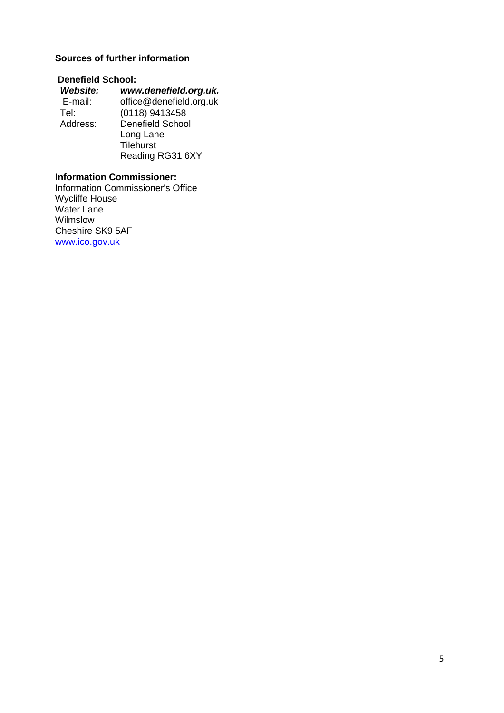# **Sources of further information**

# **Denefield School:**

| Website: | www.denefield.org.uk.   |
|----------|-------------------------|
| E-mail:  | office@denefield.org.uk |
| Tel:     | (0118) 9413458          |
| Address: | <b>Denefield School</b> |
|          | Long Lane               |
|          | <b>Tilehurst</b>        |
|          | Reading RG31 6XY        |

# **Information Commissioner:**

Information Commissioner's Office Wycliffe House Water Lane Wilmslow Cheshire SK9 5AF www.ico.gov.uk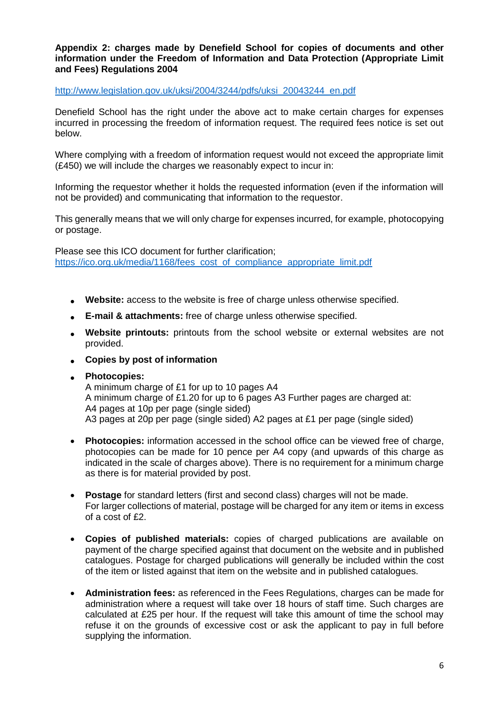#### **Appendix 2: charges made by Denefield School for copies of documents and other information under the Freedom of Information and Data Protection (Appropriate Limit and Fees) Regulations 2004**

#### [http://www.legislation.gov.uk/uksi/2004/3244/pdfs/uksi\\_20043244\\_en.pdf](http://www.legislation.gov.uk/uksi/2004/3244/pdfs/uksi_20043244_en.pdf)

Denefield School has the right under the above act to make certain charges for expenses incurred in processing the freedom of information request. The required fees notice is set out below.

Where complying with a freedom of information request would not exceed the appropriate limit (£450) we will include the charges we reasonably expect to incur in:

Informing the requestor whether it holds the requested information (even if the information will not be provided) and communicating that information to the requestor.

This generally means that we will only charge for expenses incurred, for example, photocopying or postage.

Please see this ICO document for further clarification; [https://ico.org.uk/media/1168/fees\\_cost\\_of\\_compliance\\_appropriate\\_limit.pdf](https://ico.org.uk/media/1168/fees_cost_of_compliance_appropriate_limit.pdf)

- **Website:** access to the website is free of charge unless otherwise specified.
- **E-mail & attachments:** free of charge unless otherwise specified.
- **Website printouts:** printouts from the school website or external websites are not provided.
- **Copies by post of information**
- **Photocopies:**

A minimum charge of £1 for up to 10 pages A4 A minimum charge of £1.20 for up to 6 pages A3 Further pages are charged at: A4 pages at 10p per page (single sided) A3 pages at 20p per page (single sided) A2 pages at £1 per page (single sided)

- **Photocopies:** information accessed in the school office can be viewed free of charge, photocopies can be made for 10 pence per A4 copy (and upwards of this charge as indicated in the scale of charges above). There is no requirement for a minimum charge as there is for material provided by post.
- **Postage** for standard letters (first and second class) charges will not be made. For larger collections of material, postage will be charged for any item or items in excess of a cost of £2.
- **Copies of published materials:** copies of charged publications are available on payment of the charge specified against that document on the website and in published catalogues. Postage for charged publications will generally be included within the cost of the item or listed against that item on the website and in published catalogues.
- **Administration fees:** as referenced in the Fees Regulations, charges can be made for administration where a request will take over 18 hours of staff time. Such charges are calculated at £25 per hour. If the request will take this amount of time the school may refuse it on the grounds of excessive cost or ask the applicant to pay in full before supplying the information.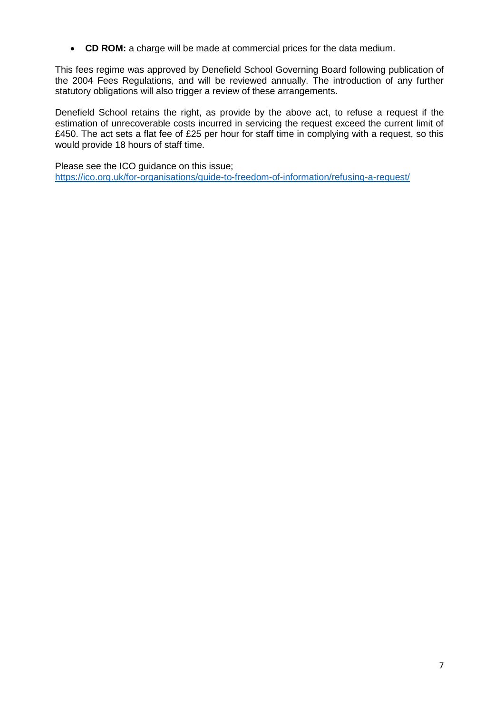**CD ROM:** a charge will be made at commercial prices for the data medium.

This fees regime was approved by Denefield School Governing Board following publication of the 2004 Fees Regulations, and will be reviewed annually. The introduction of any further statutory obligations will also trigger a review of these arrangements.

Denefield School retains the right, as provide by the above act, to refuse a request if the estimation of unrecoverable costs incurred in servicing the request exceed the current limit of £450. The act sets a flat fee of £25 per hour for staff time in complying with a request, so this would provide 18 hours of staff time.

Please see the ICO guidance on this issue; <https://ico.org.uk/for-organisations/guide-to-freedom-of-information/refusing-a-request/>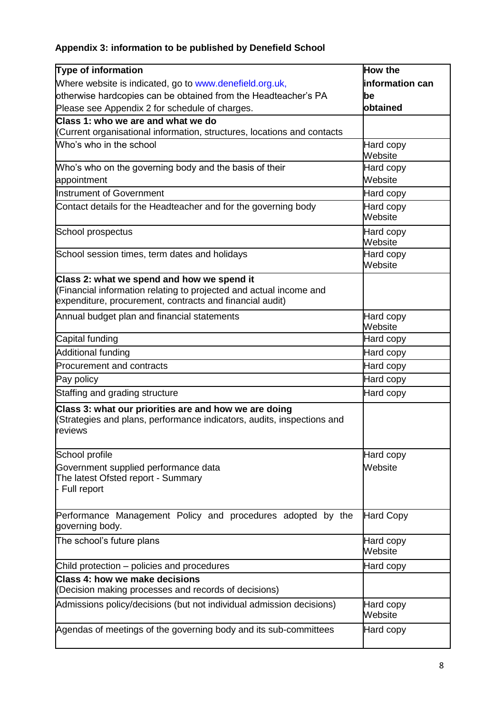# **Appendix 3: information to be published by Denefield School**

| <b>Type of information</b>                                                                                                                                                   | <b>How the</b>       |
|------------------------------------------------------------------------------------------------------------------------------------------------------------------------------|----------------------|
| Where website is indicated, go to www.denefield.org.uk,                                                                                                                      | information can      |
| otherwise hardcopies can be obtained from the Headteacher's PA                                                                                                               | be                   |
| Please see Appendix 2 for schedule of charges.                                                                                                                               | obtained             |
| Class 1: who we are and what we do                                                                                                                                           |                      |
| (Current organisational information, structures, locations and contacts                                                                                                      |                      |
| Who's who in the school                                                                                                                                                      | Hard copy<br>Website |
| Who's who on the governing body and the basis of their                                                                                                                       | Hard copy            |
| appointment                                                                                                                                                                  | Website              |
| <b>Instrument of Government</b>                                                                                                                                              | Hard copy            |
| Contact details for the Headteacher and for the governing body                                                                                                               | Hard copy<br>Website |
| School prospectus                                                                                                                                                            | Hard copy<br>Website |
| School session times, term dates and holidays                                                                                                                                | Hard copy<br>Website |
| Class 2: what we spend and how we spend it<br>(Financial information relating to projected and actual income and<br>expenditure, procurement, contracts and financial audit) |                      |
| Annual budget plan and financial statements                                                                                                                                  | Hard copy<br>Website |
| Capital funding                                                                                                                                                              | Hard copy            |
| <b>Additional funding</b>                                                                                                                                                    | Hard copy            |
| <b>Procurement and contracts</b>                                                                                                                                             | Hard copy            |
| Pay policy                                                                                                                                                                   | Hard copy            |
| Staffing and grading structure                                                                                                                                               | Hard copy            |
| Class 3: what our priorities are and how we are doing<br>(Strategies and plans, performance indicators, audits, inspections and<br>reviews                                   |                      |
| School profile                                                                                                                                                               | Hard copy            |
| Government supplied performance data<br>The latest Ofsted report - Summary<br>- Full report                                                                                  | Website              |
| Performance Management Policy and procedures adopted by the<br>governing body.                                                                                               | <b>Hard Copy</b>     |
| The school's future plans                                                                                                                                                    | Hard copy<br>Website |
| Child protection – policies and procedures                                                                                                                                   | Hard copy            |
| <b>Class 4: how we make decisions</b><br>(Decision making processes and records of decisions)                                                                                |                      |
| Admissions policy/decisions (but not individual admission decisions)                                                                                                         | Hard copy<br>Website |
| Agendas of meetings of the governing body and its sub-committees                                                                                                             | Hard copy            |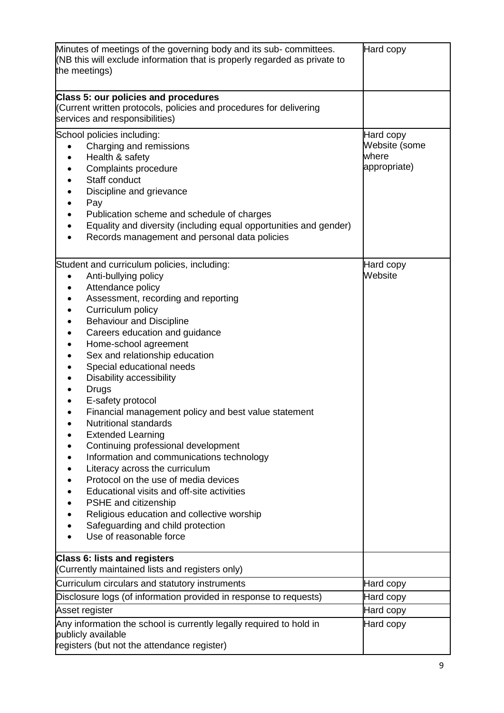| Minutes of meetings of the governing body and its sub- committees.<br>(NB this will exclude information that is properly regarded as private to<br>the meetings)                                                                                                                                                                                                                                                                                                                                                                                                                                                                                                                                                                                                                                                                                         | Hard copy                                           |
|----------------------------------------------------------------------------------------------------------------------------------------------------------------------------------------------------------------------------------------------------------------------------------------------------------------------------------------------------------------------------------------------------------------------------------------------------------------------------------------------------------------------------------------------------------------------------------------------------------------------------------------------------------------------------------------------------------------------------------------------------------------------------------------------------------------------------------------------------------|-----------------------------------------------------|
| Class 5: our policies and procedures<br>(Current written protocols, policies and procedures for delivering<br>services and responsibilities)                                                                                                                                                                                                                                                                                                                                                                                                                                                                                                                                                                                                                                                                                                             |                                                     |
| School policies including:<br>Charging and remissions<br>Health & safety<br>Complaints procedure<br>Staff conduct<br>Discipline and grievance<br>Pay<br>Publication scheme and schedule of charges<br>Equality and diversity (including equal opportunities and gender)<br>Records management and personal data policies                                                                                                                                                                                                                                                                                                                                                                                                                                                                                                                                 | Hard copy<br>Website (some<br>where<br>appropriate) |
| Student and curriculum policies, including:<br>Anti-bullying policy<br>Attendance policy<br>Assessment, recording and reporting<br>Curriculum policy<br><b>Behaviour and Discipline</b><br>Careers education and guidance<br>Home-school agreement<br>Sex and relationship education<br>Special educational needs<br>Disability accessibility<br><b>Drugs</b><br>E-safety protocol<br>Financial management policy and best value statement<br><b>Nutritional standards</b><br><b>Extended Learning</b><br>Continuing professional development<br>Information and communications technology<br>Literacy across the curriculum<br>Protocol on the use of media devices<br>Educational visits and off-site activities<br>PSHE and citizenship<br>Religious education and collective worship<br>Safeguarding and child protection<br>Use of reasonable force | Hard copy<br>Website                                |
| <b>Class 6: lists and registers</b><br>(Currently maintained lists and registers only)                                                                                                                                                                                                                                                                                                                                                                                                                                                                                                                                                                                                                                                                                                                                                                   |                                                     |
| Curriculum circulars and statutory instruments                                                                                                                                                                                                                                                                                                                                                                                                                                                                                                                                                                                                                                                                                                                                                                                                           | Hard copy                                           |
| Disclosure logs (of information provided in response to requests)                                                                                                                                                                                                                                                                                                                                                                                                                                                                                                                                                                                                                                                                                                                                                                                        | Hard copy                                           |
| Asset register                                                                                                                                                                                                                                                                                                                                                                                                                                                                                                                                                                                                                                                                                                                                                                                                                                           | Hard copy                                           |
| Any information the school is currently legally required to hold in<br>publicly available<br>registers (but not the attendance register)                                                                                                                                                                                                                                                                                                                                                                                                                                                                                                                                                                                                                                                                                                                 | Hard copy                                           |